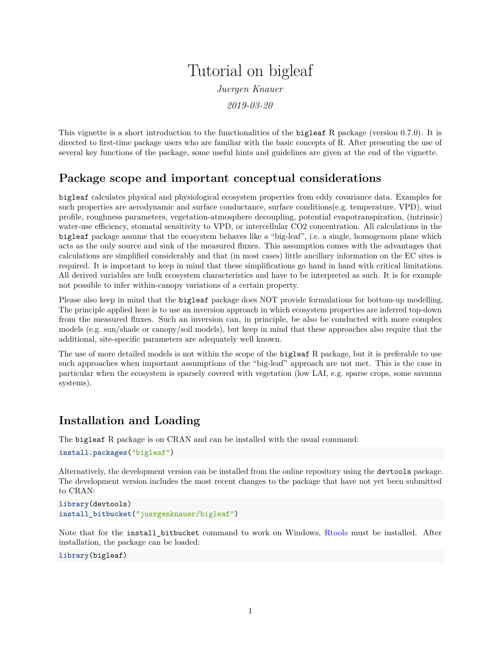# Tutorial on bigleaf *Juergen Knauer*

*2019-03-20*

This vignette is a short introduction to the functionalities of the bigleaf R package (version 0.7.0). It is directed to first-time package users who are familiar with the basic concepts of R. After presenting the use of several key functions of the package, some useful hints and guidelines are given at the end of the vignette.

# **Package scope and important conceptual considerations**

bigleaf calculates physical and physiological ecosystem properties from eddy covariance data. Examples for such properties are aerodynamic and surface conductance, surface conditions(e.g. temperature, VPD), wind profile, roughness parameters, vegetation-atmosphere decoupling, potential evapotranspiration, (intrinsic) water-use efficiency, stomatal sensitivity to VPD, or intercellular CO2 concentration. All calculations in the bigleaf package assume that the ecosystem behaves like a "big-leaf", i.e. a single, homogenous plane which acts as the only source and sink of the measured fluxes. This assumption comes with the advantages that calculations are simplified considerably and that (in most cases) little ancillary information on the EC sites is required. It is important to keep in mind that these simplifications go hand in hand with critical limitations. All derived variables are bulk ecosystem characteristics and have to be interpreted as such. It is for example not possible to infer within-canopy variations of a certain property.

Please also keep in mind that the bigleaf package does NOT provide formulations for bottom-up modelling. The principle applied here is to use an inversion approach in which ecosystem properties are inferred top-down from the measured fluxes. Such an inversion can, in principle, be also be conducted with more complex models (e.g. sun/shade or canopy/soil models), but keep in mind that these approaches also require that the additional, site-specific parameters are adequately well known.

The use of more detailed models is not within the scope of the bigleaf R package, but it is preferable to use such approaches when important assumptions of the "big-leaf" approach are not met. This is the case in particular when the ecosystem is sparsely covered with vegetation (low LAI, e.g. sparse crops, some savanna systems).

# **Installation and Loading**

The bigleaf R package is on CRAN and can be installed with the usual command:

```
install.packages("bigleaf")
```
Alternatively, the development version can be installed from the online repository using the devtools package. The development version includes the most recent changes to the package that have not yet been submitted to CRAN:

```
library(devtools)
install_bitbucket("juergenknauer/bigleaf")
```
Note that for the install bitbucket command to work on Windows, [Rtools](https://cran.r-project.org/bin/windows/Rtools/) must be installed. After installation, the package can be loaded:

#### **library**(bigleaf)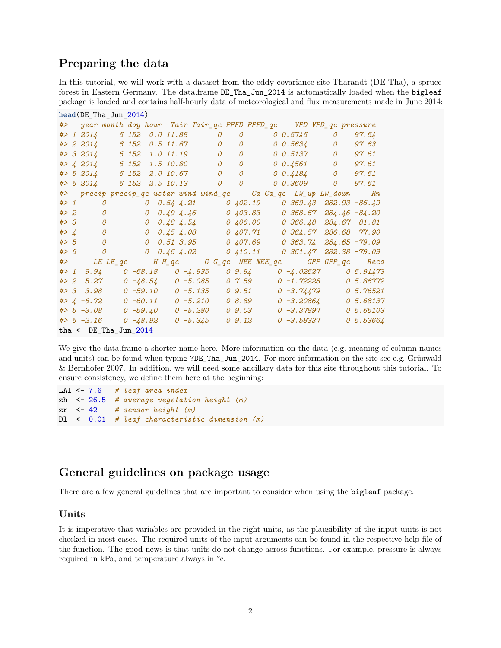# **Preparing the data**

In this tutorial, we will work with a dataset from the eddy covariance site Tharandt (DE-Tha), a spruce forest in Eastern Germany. The data.frame DE\_Tha\_Jun\_2014 is automatically loaded when the bigleaf package is loaded and contains half-hourly data of meteorological and flux measurements made in June 2014:

```
head(DE_Tha_Jun_2014)
#> year month doy hour Tair Tair_qc PPFD PPFD_qc VPD VPD_qc pressure
#> 1 2014 6 152 0.0 11.88 0 0 0 0.5746 0 97.64
#> 2 2014 6 152 0.5 11.67 0 0 0 0.5634 0 97.63
#> 3 2014 6 152 1.0 11.19 0 0 0 0.5137 0 97.61
#> 4 2014 6 152 1.5 10.80 0 0 0 0.4561 0 97.61
#> 5 2014 6 152 2.0 10.67 0 0 0 0.4184 0 97.61
#> 6 2014 6 152 2.5 10.13 0 0 0 0.3609 0 97.61
#> precip precip_qc ustar wind wind_qc Ca Ca_qc LW_up LW_down Rn
#> 1 0 0 0.54 4.21 0 402.19 0 369.43 282.93 -86.49
#> 2 0 0 0.49 4.46 0 403.83 0 368.67 284.46 -84.20
#> 3 0 0 0.48 4.54 0 406.00 0 366.48 284.67 -81.81
#> 4 0 0 0.45 4.08 0 407.71 0 364.57 286.68 -77.90
#> 5 0 0 0.51 3.95 0 407.69 0 363.74 284.65 -79.09
#> 6 0 0 0.46 4.02 0 410.11 0 361.47 282.38 -79.09
#> LE LE_qc H H_qc G G_qc NEE NEE_qc GPP GPP_qc Reco
#> 1 9.94 0 -68.18 0 -4.935 0 9.94 0 -4.02527 0 5.91473
#> 2 5.27 0 -48.54 0 -5.085 0 7.59 0 -1.72228 0 5.86772
#> 3 3.98 0 -59.10 0 -5.135 0 9.51 0 -3.74479 0 5.76521
#> 4 -6.72 0 -60.11 0 -5.210 0 8.89 0 -3.20864 0 5.68137
#> 5 -3.08 0 -59.40 0 -5.280 0 9.03 0 -3.37897 0 5.65103
#> 6 -2.16 0 -48.92 0 -5.345 0 9.12 0 -3.58337 0 5.53664
tha \le DE Tha Jun 2014
```
We give the data.frame a shorter name here. More information on the data (e.g. meaning of column names and units) can be found when typing ?DE\_Tha\_Jun\_2014. For more information on the site see e.g. Grünwald & Bernhofer 2007. In addition, we will need some ancillary data for this site throughout this tutorial. To ensure consistency, we define them here at the beginning:

```
LAI <- 7.6 # leaf area index
zh <- 26.5 # average vegetation height (m)
zr <- 42 # sensor height (m)
Dl <- 0.01 # leaf characteristic dimension (m)
```
# **General guidelines on package usage**

There are a few general guidelines that are important to consider when using the bigleaf package.

## **Units**

It is imperative that variables are provided in the right units, as the plausibility of the input units is not checked in most cases. The required units of the input arguments can be found in the respective help file of the function. The good news is that units do not change across functions. For example, pressure is always required in kPa, and temperature always in °c.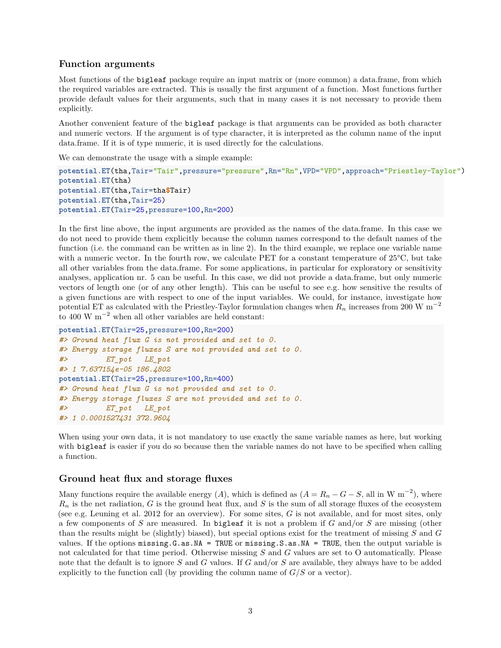#### **Function arguments**

Most functions of the bigleaf package require an input matrix or (more common) a data.frame, from which the required variables are extracted. This is usually the first argument of a function. Most functions further provide default values for their arguments, such that in many cases it is not necessary to provide them explicitly.

Another convenient feature of the bigleaf package is that arguments can be provided as both character and numeric vectors. If the argument is of type character, it is interpreted as the column name of the input data.frame. If it is of type numeric, it is used directly for the calculations.

We can demonstrate the usage with a simple example:

```
potential.ET(tha,Tair="Tair",pressure="pressure",Rn="Rn",VPD="VPD",approach="Priestley-Taylor")
potential.ET(tha)
potential.ET(tha,Tair=tha$Tair)
potential.ET(tha,Tair=25)
potential.ET(Tair=25,pressure=100,Rn=200)
```
In the first line above, the input arguments are provided as the names of the data.frame. In this case we do not need to provide them explicitly because the column names correspond to the default names of the function (i.e. the command can be written as in line 2). In the third example, we replace one variable name with a numeric vector. In the fourth row, we calculate PET for a constant temperature of 25°C, but take all other variables from the data.frame. For some applications, in particular for exploratory or sensitivity analyses, application nr. 5 can be useful. In this case, we did not provide a data.frame, but only numeric vectors of length one (or of any other length). This can be useful to see e.g. how sensitive the results of a given functions are with respect to one of the input variables. We could, for instance, investigate how potential ET as calculated with the Priestley-Taylor formulation changes when *R<sup>n</sup>* increases from 200 W m<sup>−</sup><sup>2</sup> to 400 W  $m^{-2}$  when all other variables are held constant:

```
potential.ET(Tair=25,pressure=100,Rn=200)
#> Ground heat flux G is not provided and set to 0.
#> Energy storage fluxes S are not provided and set to 0.
#> ET_pot LE_pot
#> 1 7.637154e-05 186.4802
potential.ET(Tair=25,pressure=100,Rn=400)
#> Ground heat flux G is not provided and set to 0.
#> Energy storage fluxes S are not provided and set to 0.
#> ET_pot LE_pot
#> 1 0.0001527431 372.9604
```
When using your own data, it is not mandatory to use exactly the same variable names as here, but working with **bigleaf** is easier if you do so because then the variable names do not have to be specified when calling a function.

#### **Ground heat flux and storage fluxes**

Many functions require the available energy  $(A)$ , which is defined as  $(A = R_n - G - S)$ , all in W m<sup>-2</sup>), where  $R_n$  is the net radiation, *G* is the ground heat flux, and *S* is the sum of all storage fluxes of the ecosystem (see e.g. Leuning et al. 2012 for an overview). For some sites, *G* is not available, and for most sites, only a few components of *S* are measured. In bigleaf it is not a problem if *G* and/or *S* are missing (other than the results might be (slightly) biased), but special options exist for the treatment of missing *S* and *G* values. If the options  $missing.G.a.s.M = TRUE$  or  $missing.S.a.s.M = TRUE$ , then the output variable is not calculated for that time period. Otherwise missing *S* and *G* values are set to O automatically. Please note that the default is to ignore *S* and *G* values. If *G* and/or *S* are available, they always have to be added explicitly to the function call (by providing the column name of  $G/S$  or a vector).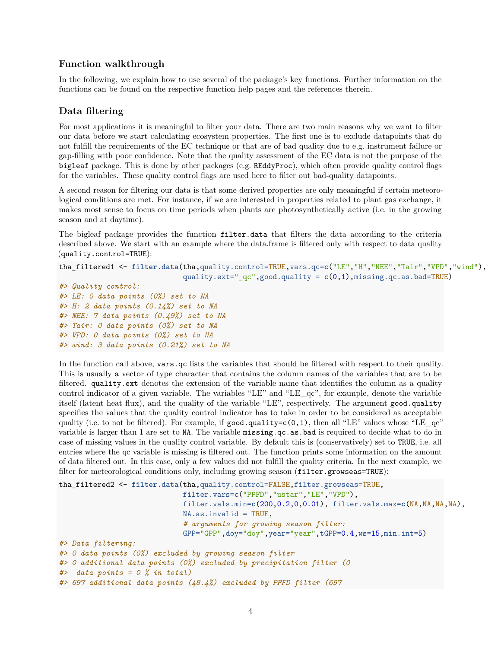# **Function walkthrough**

In the following, we explain how to use several of the package's key functions. Further information on the functions can be found on the respective function help pages and the references therein.

# **Data filtering**

For most applications it is meaningful to filter your data. There are two main reasons why we want to filter our data before we start calculating ecosystem properties. The first one is to exclude datapoints that do not fulfill the requirements of the EC technique or that are of bad quality due to e.g. instrument failure or gap-filling with poor confidence. Note that the quality assessment of the EC data is not the purpose of the bigleaf package. This is done by other packages (e.g. REddyProc), which often provide quality control flags for the variables. These quality control flags are used here to filter out bad-quality datapoints.

A second reason for filtering our data is that some derived properties are only meaningful if certain meteorological conditions are met. For instance, if we are interested in properties related to plant gas exchange, it makes most sense to focus on time periods when plants are photosynthetically active (i.e. in the growing season and at daytime).

The bigleaf package provides the function filter.data that filters the data according to the criteria described above. We start with an example where the data.frame is filtered only with respect to data quality (quality.control=TRUE):

```
tha_filtered1 <- filter.data(tha,quality.control=TRUE,vars.qc=c("LE","H","NEE","Tair","VPD","wind"),
                             quality.ext="_qc",good.quality = c(0,1),missing.qc.as.bad=TRUE)
```

```
#> Quality control:
#> LE: 0 data points (0%) set to NA
#> H: 2 data points (0.14%) set to NA
#> NEE: 7 data points (0.49%) set to NA
#> Tair: 0 data points (0%) set to NA
#> VPD: 0 data points (0%) set to NA
#> wind: 3 data points (0.21%) set to NA
```
In the function call above, vars.qc lists the variables that should be filtered with respect to their quality. This is usually a vector of type character that contains the column names of the variables that are to be filtered. quality.ext denotes the extension of the variable name that identifies the column as a quality control indicator of a given variable. The variables "LE" and "LE\_qc", for example, denote the variable itself (latent heat flux), and the quality of the variable "LE", respectively. The argument good.quality specifies the values that the quality control indicator has to take in order to be considered as acceptable quality (i.e. to not be filtered). For example, if good.quality=c(0,1), then all "LE" values whose "LE\_qc" variable is larger than 1 are set to NA. The variable missing.qc.as.bad is required to decide what to do in case of missing values in the quality control variable. By default this is (conservatively) set to TRUE, i.e. all entries where the qc variable is missing is filtered out. The function prints some information on the amount of data filtered out. In this case, only a few values did not fulfill the quality criteria. In the next example, we filter for meteorological conditions only, including growing season (filter.growseas=TRUE):

```
tha_filtered2 <- filter.data(tha,quality.control=FALSE,filter.growseas=TRUE,
                             filter.vars=c("PPFD","ustar","LE","VPD"),
                             filter.vals.min=c(200,0.2,0,0.01), filter.vals.max=c(NA,NA,NA,NA),
                             NA.as.invalid = TRUE,
                             # arguments for growing season filter:
                             GPP="GPP",doy="doy",year="year",tGPP=0.4,ws=15,min.int=5)
#> Data filtering:
#> 0 data points (0%) excluded by growing season filter
#> 0 additional data points (0%) excluded by precipitation filter (0
#> data points = 0 % in total)
#> 697 additional data points (48.4%) excluded by PPFD filter (697
```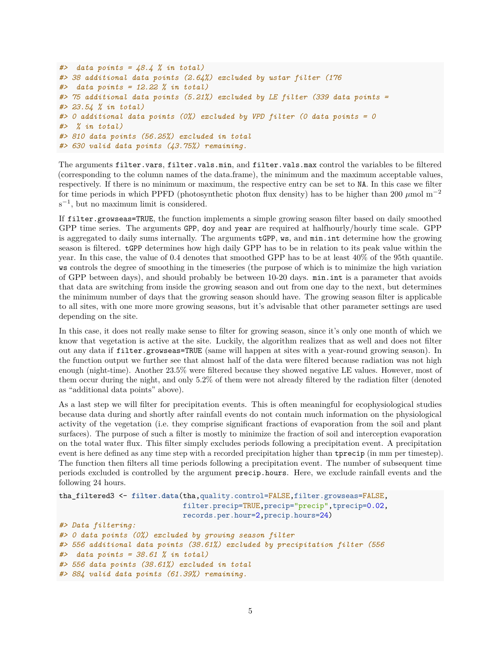```
#> data points = 48.4 % in total)
#> 38 additional data points (2.64%) excluded by ustar filter (176
#> data points = 12.22 % in total)
#> 75 additional data points (5.21%) excluded by LE filter (339 data points =
#> 23.54 % in total)
#> 0 additional data points (0%) excluded by VPD filter (0 data points = 0
#> % in total)
#> 810 data points (56.25%) excluded in total
#> 630 valid data points (43.75%) remaining.
```
The arguments filter.vars, filter.vals.min, and filter.vals.max control the variables to be filtered (corresponding to the column names of the data.frame), the minimum and the maximum acceptable values, respectively. If there is no minimum or maximum, the respective entry can be set to NA. In this case we filter for time periods in which PPFD (photosynthetic photon flux density) has to be higher than 200 *µ*mol m<sup>−</sup><sup>2</sup> s −1 , but no maximum limit is considered.

If filter.growseas=TRUE, the function implements a simple growing season filter based on daily smoothed GPP time series. The arguments GPP, doy and year are required at halfhourly/hourly time scale. GPP is aggregated to daily sums internally. The arguments tGPP, ws, and min.int determine how the growing season is filtered. tGPP determines how high daily GPP has to be in relation to its peak value within the year. In this case, the value of 0.4 denotes that smoothed GPP has to be at least 40% of the 95th quantile. ws controls the degree of smoothing in the timeseries (the purpose of which is to minimize the high variation of GPP between days), and should probably be between 10-20 days. min.int is a parameter that avoids that data are switching from inside the growing season and out from one day to the next, but determines the minimum number of days that the growing season should have. The growing season filter is applicable to all sites, with one more more growing seasons, but it's advisable that other parameter settings are used depending on the site.

In this case, it does not really make sense to filter for growing season, since it's only one month of which we know that vegetation is active at the site. Luckily, the algorithm realizes that as well and does not filter out any data if filter.growseas=TRUE (same will happen at sites with a year-round growing season). In the function output we further see that almost half of the data were filtered because radiation was not high enough (night-time). Another 23.5% were filtered because they showed negative LE values. However, most of them occur during the night, and only 5.2% of them were not already filtered by the radiation filter (denoted as "additional data points" above).

As a last step we will filter for precipitation events. This is often meaningful for ecophysiological studies because data during and shortly after rainfall events do not contain much information on the physiological activity of the vegetation (i.e. they comprise significant fractions of evaporation from the soil and plant surfaces). The purpose of such a filter is mostly to minimize the fraction of soil and interception evaporation on the total water flux. This filter simply excludes periods following a precipitation event. A precipitation event is here defined as any time step with a recorded precipitation higher than tprecip (in mm per timestep). The function then filters all time periods following a precipitation event. The number of subsequent time periods excluded is controlled by the argument precip.hours. Here, we exclude rainfall events and the following 24 hours.

```
tha_filtered3 <- filter.data(tha,quality.control=FALSE,filter.growseas=FALSE,
                             filter.precip=TRUE,precip="precip",tprecip=0.02,
                             records.per.hour=2,precip.hours=24)
#> Data filtering:
#> 0 data points (0%) excluded by growing season filter
#> 556 additional data points (38.61%) excluded by precipitation filter (556
#> data points = 38.61 % in total)
#> 556 data points (38.61%) excluded in total
#> 884 valid data points (61.39%) remaining.
```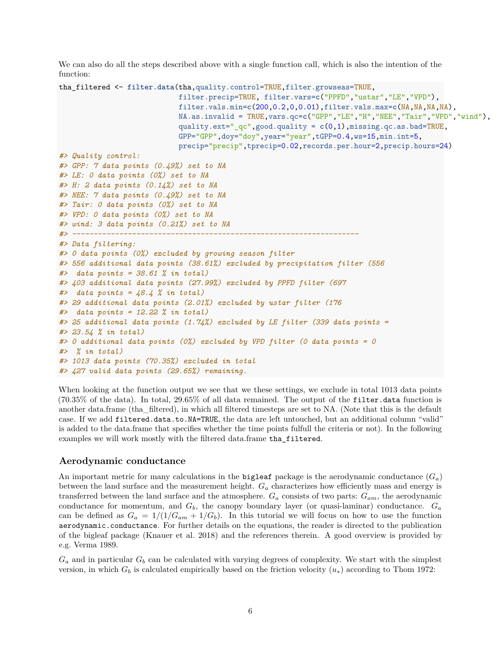We can also do all the steps described above with a single function call, which is also the intention of the function:

```
tha_filtered <- filter.data(tha,quality.control=TRUE,filter.growseas=TRUE,
                             filter.precip=TRUE, filter.vars=c("PPFD","ustar","LE","VPD"),
                             filter.vals.min=c(200,0.2,0,0.01),filter.vals.max=c(NA,NA,NA,NA),
                             NA.as.invalid = TRUE,vars.qc=c("GPP","LE","H","NEE","Tair","VPD","wind"),
                             quality.ext="_qc",good.quality = c(0,1),missing.qc.as.bad=TRUE,
                             GPP="GPP",doy="doy",year="year",tGPP=0.4,ws=15,min.int=5,
                             precip="precip",tprecip=0.02,records.per.hour=2,precip.hours=24)
#> Quality control:
#> GPP: 7 data points (0.49%) set to NA
#> LE: 0 data points (0%) set to NA
#> H: 2 data points (0.14%) set to NA
#> NEE: 7 data points (0.49%) set to NA
#> Tair: 0 data points (0%) set to NA
#> VPD: 0 data points (0%) set to NA
#> wind: 3 data points (0.21%) set to NA
#> -------------------------------------------------------------------
#> Data filtering:
#> 0 data points (0%) excluded by growing season filter
#> 556 additional data points (38.61%) excluded by precipitation filter (556
#> data points = 38.61 % in total)
#> 403 additional data points (27.99%) excluded by PPFD filter (697
#> data points = 48.4 % in total)
#> 29 additional data points (2.01%) excluded by ustar filter (176
#> data points = 12.22 % in total)
#> 25 additional data points (1.74%) excluded by LE filter (339 data points =
#> 23.54 % in total)
#> 0 additional data points (0%) excluded by VPD filter (0 data points = 0
#> % in total)
#> 1013 data points (70.35%) excluded in total
#> 427 valid data points (29.65%) remaining.
```
When looking at the function output we see that we these settings, we exclude in total 1013 data points (70.35% of the data). In total, 29.65% of all data remained. The output of the filter.data function is another data.frame (tha\_filtered), in which all filtered timesteps are set to NA. (Note that this is the default case. If we add filtered.data.to.NA=TRUE, the data are left untouched, but an additional column "valid" is added to the data.frame that specifies whether the time points fulfull the criteria or not). In the following examples we will work mostly with the filtered data.frame tha\_filtered.

## **Aerodynamic conductance**

An important metric for many calculations in the **bigleaf** package is the aerodynamic conductance  $(G_a)$ between the land surface and the measurement height. *G<sup>a</sup>* characterizes how efficiently mass and energy is transferred between the land surface and the atmosphere. *G<sup>a</sup>* consists of two parts: *Gam*, the aerodynamic conductance for momentum, and *Gb*, the canopy boundary layer (or quasi-laminar) conductance. *G<sup>a</sup>* can be defined as  $G_a = 1/(1/G_{am} + 1/G_b)$ . In this tutorial we will focus on how to use the function aerodynamic.conductance. For further details on the equations, the reader is directed to the publication of the bigleaf package (Knauer et al. 2018) and the references therein. A good overview is provided by e.g. Verma 1989.

 $G_a$  and in particular  $G_b$  can be calculated with varying degrees of complexity. We start with the simplest version, in which  $G_b$  is calculated empirically based on the friction velocity  $(u_*)$  according to Thom 1972: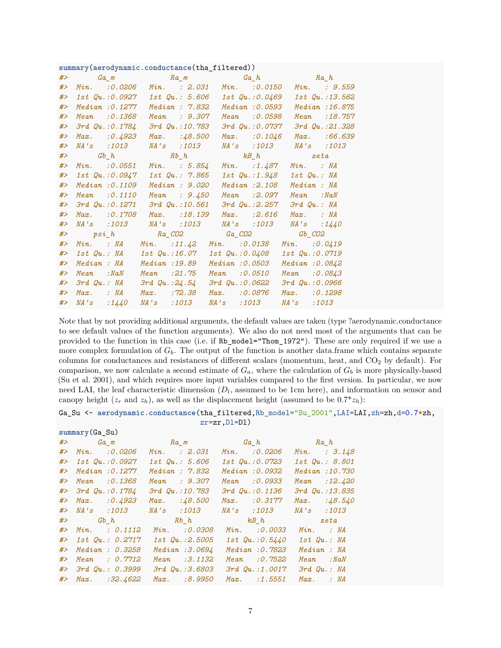|  | summary(aerodynamic.conductance(tha_filtered)) |
|--|------------------------------------------------|
|  |                                                |

| #> |                       | $Ga_{m}$ $Ra_{m}$ $Ga_{h}$ $Ra_{h}$ $Ra_{h}$                 |                                        |                   |
|----|-----------------------|--------------------------------------------------------------|----------------------------------------|-------------------|
| #  | Min. 30.0206          | $Min.$ : $2.031$                                             | Min. 30.0150                           | $Min.$ : 9.559    |
| #> | $1st$ $Qu. : 0.0927$  | $1st$ $Qu.: 5.606$                                           | <i>1st Qu.:0.0469</i>                  | 1st Qu.:13.562    |
| #  | Median: 0.1277        | Median : 7.832                                               | Median: 0.0593                         | Median : 16.875   |
| #> | Mean : 0.1368         | Mean : 9.307                                                 | Mean : 0.0598                          | Mean : 18.757     |
| #  | 3rd Qu.: 0.1784       | 3rd Qu.:10.783                                               | 3rd Qu.:0.0737                         | 3rd Qu.: 21.328   |
| #> | $Max.$ : 0.4923       | $Max.$ : 48.500                                              | $Max.$ : 0.1046                        | Max. :66.639      |
| #> | NA's :1013            | <i>NA's</i> :1013                                            | <i>NA's</i> :1013                      | NA's :1013        |
| #> |                       | $Gb_h$ $Rb_h$ $kB_h$ $zeta$                                  |                                        |                   |
| #  | $Min.$ $: 0.0551$     |                                                              | Min. : $5.854$ Min. : $1.487$          | $Min.$ : $NA$     |
| #  | <i>1st Qu.:0.0947</i> |                                                              | 1st Qu.: 7.865 1st Qu.:1.948           | 1st Qu.: NA       |
| #> | Median : 0.1109       | Median : 9.020                                               | Median :2.108                          | Median : NA       |
| #> | $Mean$ : $0.1110$     | Mean : $9.450$                                               | $Mean$ :2.097                          | Mean :NaN         |
| #> | $3rd$ $Qu. : 0.1271$  | $3rd$ $Qu.:10.561$                                           | 3rd Qu.:2.257                          | $3rd$ $Qu.:$ $MA$ |
| #> | $Max.$ : 0.1708       | $Max.$ : 18.139                                              | $Max.$ :2.616                          | $Max.$ : $NA$     |
| #> |                       | NA's :1013 NA's :1013 NA's :1013 NA's :1440                  |                                        |                   |
| #> |                       | $psi_h$ and $Ra_CO2$ and $Ga_CO2$ and $Gb_CO2$               |                                        |                   |
| #> |                       | <i>Min.</i> : <i>NA Min.</i> : 11.42 <i>Min.</i> : 0.0138    |                                        | $Min.$ : 0.0419   |
| #> |                       | $1st$ $Qu.:$ $NA$ $1st$ $Qu.:$ $16.07$ $1st$ $Qu.:$ $0.0408$ |                                        | 1st Qu.: 0.0719   |
| #> | Median : NA           | Median :19.89                                                | Median: 0.0503                         | Median: 0.0842    |
| #> | $Mean \t : NaN$       | $Mean$ : 21.75                                               | $Mean$ : $0.0510$                      | Mean : 0.0843     |
| #> | $3rd$ $Qu.:$ $NA$     |                                                              | $3rd$ $Qu.: 24.54$ $3rd$ $Qu.: 0.0622$ | 3rd Qu.: 0.0966   |
| #> | $Max.$ : $NA$         | $Max.$ : $72.38$                                             | $Max.$ : 0.0876                        | Max. : 0.1298     |
| #> | NA's : 1440           | <i>NA's</i> :1013                                            | NA's :1013                             | <i>NA's</i> :1013 |

Note that by not providing additional arguments, the default values are taken (type ?aerodynamic.conductance to see default values of the function arguments). We also do not need most of the arguments that can be provided to the function in this case (i.e. if Rb\_model="Thom\_1972"). These are only required if we use a more complex formulation of  $G_b$ . The output of the function is another data.frame which contains separate columns for conductances and resistances of different scalars (momentum, heat, and  $CO<sub>2</sub>$  by default). For comparison, we now calculate a second estimate of  $G_a$ , where the calculation of  $G_b$  is more physically-based (Su et al. 2001), and which requires more input variables compared to the first version. In particular, we now need LAI, the leaf characteristic dimension  $(D_l)$ , assumed to be 1cm here), and information on sensor and canopy height  $(z_r \text{ and } z_h)$ , as well as the displacement height (assumed to be  $0.7 \times z_h$ ):

#### Ga\_Su <- **aerodynamic.conductance**(tha\_filtered,Rb\_model="Su\_2001",LAI=LAI,zh=zh,d=0.7**\***zh, zr=zr,Dl=Dl)

|       | $\texttt{summary}(Ga\_Su)$ |  |                      |                                                    |                   |                   |
|-------|----------------------------|--|----------------------|----------------------------------------------------|-------------------|-------------------|
|       |                            |  |                      | $#$ > $Ga_{m}$ $Ra_{m}$ $Ga_{h}$ $Ga_{h}$ $Ra_{h}$ |                   |                   |
| #     | $Min.$ : 0.0206            |  | $Min.$ : $2.031$     | $Min.$ : 0.0206                                    |                   | $Min.$ : $3.148$  |
| #>    | 1st Qu.:0.0927             |  | $1st$ Qu.: $5.606$   | $1st$ $Qu. : 0.0723$                               |                   | 1st Qu.: 8.801    |
| #>    | Median : 0.1277            |  | Median: 7.832        | Median: 0.0932                                     |                   | Median : 10.730   |
| # $>$ | Mean : 0.1368              |  | Mean : 9.307         | Mean : 0.0933                                      |                   | $Mean$ : 12.420   |
| # $>$ | $3rd$ $Qu.: 0.1784$        |  | 3rd Qu.: 10.783      | 3rd Qu.: 0.1136                                    |                   | 3rd Qu.: 13.835   |
| #>    | $Max.$ : 0.4923            |  | $Max.$ :48.500       | Max. : 0.3177                                      |                   | $Max.$ : $48.540$ |
|       | #> NA's :1013              |  | <i>NA's :1013</i>    | <i>NA's :1013</i>                                  | <i>NA's</i> :1013 |                   |
|       |                            |  |                      | $#$ and $Gb_h$ and $Rb_h$ and $kB_h$ and $kB_h$    |                   | zeta              |
| #     | Min. : 0.1112              |  | Min. 30.0308         | Min. 30.0033                                       | $Min.$ : $NA$     |                   |
| #     | $1st$ $Qu.: 0.2717$        |  | $1st$ $Qu. : 2.5005$ | $1st$ $Qu. : 0.5440$                               | $1st$ $Qu.:$ $NA$ |                   |
| #>    | Median: 0.3258             |  | Median : 3.0694      | Median : 0.7823                                    | Median : NA       |                   |
| #>    | $Mean \t0.7712$            |  | Mean : 3.1132        | Mean : 0.7522                                      | Mean :NaN         |                   |
| #>    | 3rd Qu.: 0.3999            |  | $3rd$ $Qu.:3.6803$   | $3rd$ $Qu. : 1.0017$                               | $3rd$ $Qu.:$ $MA$ |                   |
| #>    | $Max.$ : 32.4622           |  | $Max.$ :8.9950       | $Max.$ : 1.5551                                    | $Max.$ : $NA$     |                   |
|       |                            |  |                      |                                                    |                   |                   |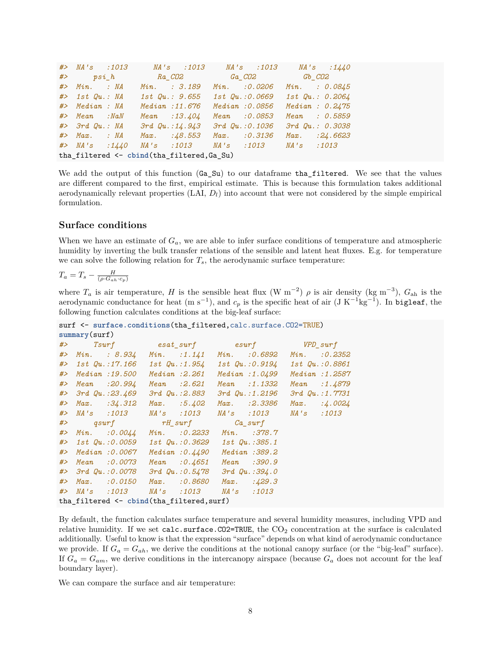*#> NA's :1013 NA's :1013 NA's :1013 NA's :1440 #> psi\_h Ra\_CO2 Ga\_CO2 Gb\_CO2 #> Min. : NA Min. : 3.189 Min. :0.0206 Min. : 0.0845 #> 1st Qu.: NA 1st Qu.: 9.655 1st Qu.:0.0669 1st Qu.: 0.2064 #> Median : NA Median :11.676 Median :0.0856 Median : 0.2475 #> Mean :NaN Mean :13.404 Mean :0.0853 Mean : 0.5859 #> 3rd Qu.: NA 3rd Qu.:14.943 3rd Qu.:0.1036 3rd Qu.: 0.3038 #> Max. : NA Max. :48.553 Max. :0.3136 Max. :24.6623 #> NA's :1440 NA's :1013 NA's :1013 NA's :1013* tha\_filtered <- **cbind**(tha\_filtered,Ga\_Su)

We add the output of this function  $(Ga_Su)$  to our dataframe tha filtered. We see that the values are different compared to the first, empirical estimate. This is because this formulation takes additional aerodynamically relevant properties (LAI, *Dl*) into account that were not considered by the simple empirical formulation.

#### **Surface conditions**

When we have an estimate of *Ga*, we are able to infer surface conditions of temperature and atmospheric humidity by inverting the bulk transfer relations of the sensible and latent heat fluxes. E.g. for temperature we can solve the following relation for  $T_s$ , the aerodynamic surface temperature:

$$
T_a = T_s - \frac{H}{(\rho \cdot G_{ah} \cdot c_p)}
$$

where  $T_a$  is air temperature, *H* is the sensible heat flux (W m<sup>-2</sup>)  $\rho$  is air density (kg m<sup>-3</sup>),  $G_{ah}$  is the aerodynamic conductance for heat  $(m s^{-1})$ , and  $c_p$  is the specific heat of air  $(J K^{-1} kg^{-1})$ . In bigleaf, the following function calculates conditions at the big-leaf surface:

surf <- surface.conditions(tha filtered,calc.surface.CO2=TRUE) **summary**(surf)

|       | Summary (Surr) |                                                |                |                       |                                  |                       |  |
|-------|----------------|------------------------------------------------|----------------|-----------------------|----------------------------------|-----------------------|--|
|       |                | #> Tsurf esat_surf esurf WPD_surf              |                |                       |                                  |                       |  |
|       |                | $#$ Min. : 8.934                               |                | $Min.$ :1.141         | Min. :0.6892                     | $Min.$ : 0.2352       |  |
|       |                | #> 1st Qu.:17.166 1st Qu.:1.954 1st Qu.:0.9194 |                |                       |                                  | <i>1st Qu.:0.8861</i> |  |
|       |                | #> Median: 19.500                              |                | $Median \; .2.261$    | Median :1.0499                   | Median : 1.2587       |  |
|       |                | #> Mean :20.994                                | $Mean$ : 2.621 |                       | $Mean$ :1.1332                   | Mean : 1.4879         |  |
|       |                | $#$ > 3rd $Qu.: 23.469$                        |                | <i>3rd Qu.:2.883</i>  | $3rd$ $Qu.:1.2196$               | 3rd Qu.: 1.7731       |  |
|       |                | $#$ Max. $:34.312$                             |                | $Max.$ :5.402         | $Max.$ : 2.3386                  | $Max.$ :4.0024        |  |
|       |                | #> NA's :1013                                  |                |                       | NA's :1013 NA's :1013 NA's :1013 |                       |  |
|       |                | #> qsurf rH_surf Ca_surf                       |                |                       |                                  |                       |  |
|       |                | $\#$ Min. : 0.0044                             |                | Min. :0.2233          | $Min.$ :378.7                    |                       |  |
|       |                | #> 1st Qu.:0.0059 1st Qu.:0.3629 1st Qu.:385.1 |                |                       |                                  |                       |  |
|       |                | #> Median :0.0067                              |                | Median: 0.4490        | Median : 389.2                   |                       |  |
| # $>$ |                | Mean :0.0073                                   |                | $Mean$ : $0.4651$     | Mean :390.9                      |                       |  |
|       |                | #> 3rd Qu.:0.0078                              |                | $3rd$ $Qu.:$ $0.5478$ | 3rd Qu.: 394.0                   |                       |  |
| #>    |                | $Max.$ :0.0150                                 |                | $Max.$ : 0.8680       | $Max.$ : 429.3                   |                       |  |
|       |                |                                                |                |                       | <i>NA's</i> :1013                |                       |  |
|       |                | tha_filtered <- cbind(tha_filtered,surf)       |                |                       |                                  |                       |  |

By default, the function calculates surface temperature and several humidity measures, including VPD and relative humidity. If we set calc.surface. $CO2=TRUE$ , the  $CO<sub>2</sub>$  concentration at the surface is calculated additionally. Useful to know is that the expression "surface" depends on what kind of aerodynamic conductance we provide. If  $G_a = G_{ah}$ , we derive the conditions at the notional canopy surface (or the "big-leaf" surface). If  $G_a = G_{am}$ , we derive conditions in the intercanopy airspace (because  $G_a$  does not account for the leaf boundary layer).

We can compare the surface and air temperature: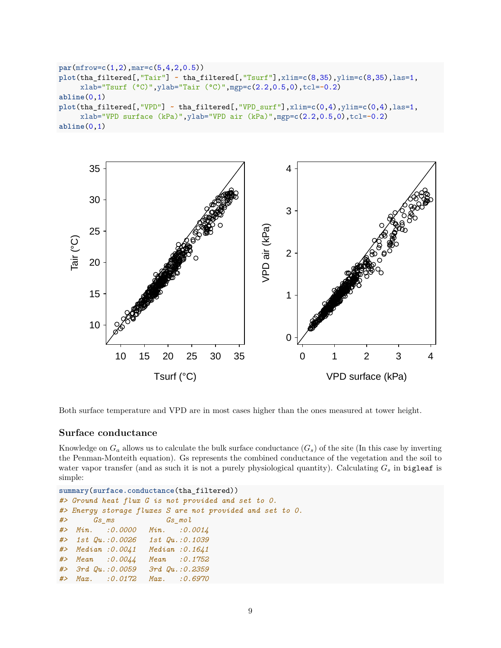```
par(mfrow=c(1,2),mar=c(5,4,2,0.5))
plot(tha_filtered[,"Tair"] ~ tha_filtered[,"Tsurf"],xlim=c(8,35),ylim=c(8,35),las=1,
     xlab="Tsurf (°C)",ylab="Tair (°C)",mgp=c(2.2,0.5,0),tcl=-0.2)
abline(0,1)
plot(tha_filtered[,"VPD"] ~ tha_filtered[,"VPD_surf"],xlim=c(0,4),ylim=c(0,4),las=1,
     xlab="VPD surface (kPa)",ylab="VPD air (kPa)",mgp=c(2.2,0.5,0),tcl=-0.2)
abline(0,1)
```


Both surface temperature and VPD are in most cases higher than the ones measured at tower height.

### **Surface conductance**

Knowledge on  $G_a$  allows us to calculate the bulk surface conductance  $(G_s)$  of the site (In this case by inverting the Penman-Monteith equation). Gs represents the combined conductance of the vegetation and the soil to water vapor transfer (and as such it is not a purely physiological quantity). Calculating *G<sup>s</sup>* in bigleaf is simple:

```
summary(surface.conductance(tha_filtered))
#> Ground heat flux G is not provided and set to 0.
#> Energy storage fluxes S are not provided and set to 0.
#> Gs_ms Gs_mol
#> Min. :0.0000 Min. :0.0014
#> 1st Qu.:0.0026 1st Qu.:0.1039
#> Median :0.0041 Median :0.1641
#> Mean :0.0044 Mean :0.1752
#> 3rd Qu.:0.0059 3rd Qu.:0.2359
#> Max. :0.0172 Max. :0.6970
```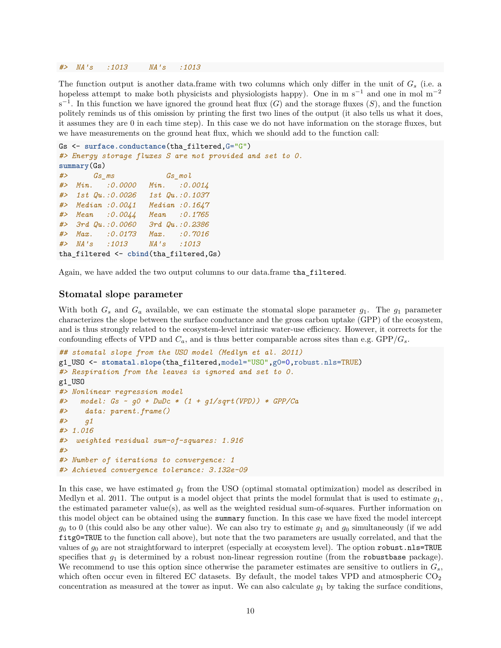#### *#> NA's :1013 NA's :1013*

The function output is another data.frame with two columns which only differ in the unit of *G<sup>s</sup>* (i.e. a hopeless attempt to make both physicists and physiologists happy). One in m s<sup>−1</sup> and one in mol m<sup>−2</sup>  $s^{-1}$ . In this function we have ignored the ground heat flux (*G*) and the storage fluxes (*S*), and the function politely reminds us of this omission by printing the first two lines of the output (it also tells us what it does, it assumes they are 0 in each time step). In this case we do not have information on the storage fluxes, but we have measurements on the ground heat flux, which we should add to the function call:

```
Gs <- surface.conductance(tha_filtered,G="G")
#> Energy storage fluxes S are not provided and set to 0.
summary(Gs)
#> Gs_ms Gs_mol
#> Min. :0.0000 Min. :0.0014
#> 1st Qu.:0.0026 1st Qu.:0.1037
#> Median :0.0041 Median :0.1647
#> Mean :0.0044 Mean :0.1765
#> 3rd Qu.:0.0060 3rd Qu.:0.2386
#> Max. :0.0173 Max. :0.7016
#> NA's :1013 NA's :1013
tha_filtered <- cbind(tha_filtered,Gs)
```
Again, we have added the two output columns to our data.frame tha\_filtered.

#### **Stomatal slope parameter**

With both  $G_s$  and  $G_a$  available, we can estimate the stomatal slope parameter  $g_1$ . The  $g_1$  parameter characterizes the slope between the surface conductance and the gross carbon uptake (GPP) of the ecosystem, and is thus strongly related to the ecosystem-level intrinsic water-use efficiency. However, it corrects for the confounding effects of VPD and  $C_a$ , and is thus better comparable across sites than e.g.  $\text{GPP}/G_s$ .

```
## stomatal slope from the USO model (Medlyn et al. 2011)
g1_USO <- stomatal.slope(tha_filtered,model="USO",g0=0,robust.nls=TRUE)
#> Respiration from the leaves is ignored and set to 0.
g1_USO
#> Nonlinear regression model
#> model: Gs ~ g0 + DwDc * (1 + g1/sqrt(VPD)) * GPP/Ca
#> data: parent.frame()
#> g1
#> 1.016
#> weighted residual sum-of-squares: 1.916
#>
#> Number of iterations to convergence: 1
#> Achieved convergence tolerance: 3.132e-09
```
In this case, we have estimated *g*<sup>1</sup> from the USO (optimal stomatal optimization) model as described in Medlyn et al. 2011. The output is a model object that prints the model formulat that is used to estimate *g*1, the estimated parameter value(s), as well as the weighted residual sum-of-squares. Further information on this model object can be obtained using the summary function. In this case we have fixed the model intercept  $g_0$  to 0 (this could also be any other value). We can also try to estimate  $g_1$  and  $g_0$  simultaneously (if we add fitg0=TRUE to the function call above), but note that the two parameters are usually correlated, and that the values of  $g_0$  are not straightforward to interpret (especially at ecosystem level). The option robust.nls=TRUE specifies that  $g_1$  is determined by a robust non-linear regression routine (from the robustbase package). We recommend to use this option since otherwise the parameter estimates are sensitive to outliers in *Gs*, which often occur even in filtered EC datasets. By default, the model takes VPD and atmospheric  $CO<sub>2</sub>$ concentration as measured at the tower as input. We can also calculate *g*<sup>1</sup> by taking the surface conditions,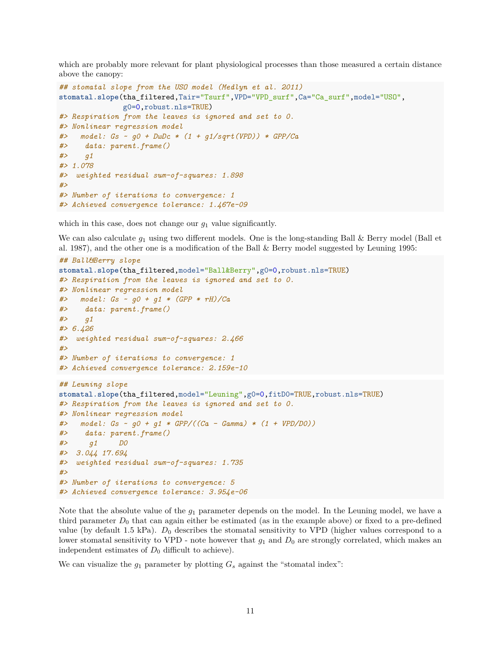which are probably more relevant for plant physiological processes than those measured a certain distance above the canopy:

```
## stomatal slope from the USO model (Medlyn et al. 2011)
stomatal.slope(tha_filtered,Tair="Tsurf",VPD="VPD_surf",Ca="Ca_surf",model="USO",
               g0=0,robust.nls=TRUE)
#> Respiration from the leaves is ignored and set to 0.
#> Nonlinear regression model
#> model: Gs ~ g0 + DwDc * (1 + g1/sqrt(VPD)) * GPP/Ca
#> data: parent.frame()
#> g1
#> 1.078
#> weighted residual sum-of-squares: 1.898
#>
#> Number of iterations to convergence: 1
#> Achieved convergence tolerance: 1.467e-09
```
which in this case, does not change our *g*<sup>1</sup> value significantly.

We can also calculate  $g_1$  using two different models. One is the long-standing Ball & Berry model (Ball et al. 1987), and the other one is a modification of the Ball & Berry model suggested by Leuning 1995:

```
## Ball&Berry slope
stomatal.slope(tha_filtered,model="Ball&Berry",g0=0,robust.nls=TRUE)
#> Respiration from the leaves is ignored and set to 0.
#> Nonlinear regression model
#> model: Gs ~ g0 + g1 * (GPP * rH)/Ca
#> data: parent.frame()
#> g1
#> 6.426
#> weighted residual sum-of-squares: 2.466
#>
#> Number of iterations to convergence: 1
#> Achieved convergence tolerance: 2.159e-10
## Leuning slope
stomatal.slope(tha_filtered,model="Leuning",g0=0,fitD0=TRUE,robust.nls=TRUE)
#> Respiration from the leaves is ignored and set to 0.
#> Nonlinear regression model
#> model: Gs ~ g0 + g1 * GPP/((Ca - Gamma) * (1 + VPD/D0))
#> data: parent.frame()
#> g1 D0
#> 3.044 17.694
#> weighted residual sum-of-squares: 1.735
#>
#> Number of iterations to convergence: 5
#> Achieved convergence tolerance: 3.954e-06
```
Note that the absolute value of the *g*<sup>1</sup> parameter depends on the model. In the Leuning model, we have a third parameter  $D_0$  that can again either be estimated (as in the example above) or fixed to a pre-defined value (by default 1.5 kPa).  $D_0$  describes the stomatal sensitivity to VPD (higher values correspond to a lower stomatal sensitivity to VPD - note however that  $g_1$  and  $D_0$  are strongly correlated, which makes an independent estimates of  $D_0$  difficult to achieve).

We can visualize the  $q_1$  parameter by plotting  $G_s$  against the "stomatal index":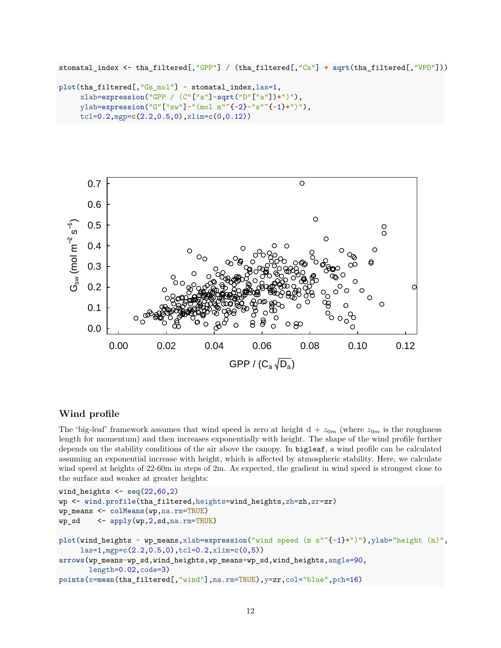```
stomatal_index <- tha_filtered[,"GPP"] / (tha_filtered[,"Ca"] * sqrt(tha_filtered[,"VPD"]))
```

```
plot(tha_filtered[,"Gs_mol"] ~ stomatal_index,las=1,
     xlab=expression("GPP / (C"["a"]~sqrt("D"["a"])*")"),
     ylab=expression("G"["sw"]~"(mol m"^{-2}~"s"^{-1}*")"),
     tcl=0.2,mgp=c(2.2,0.5,0),xlim=c(0,0.12))
```


# **Wind profile**

The 'big-leaf' framework assumes that wind speed is zero at height  $d + z_{0m}$  (where  $z_{0m}$  is the roughness length for momentum) and then increases exponentially with height. The shape of the wind profile further depends on the stability conditions of the air above the canopy. In bigleaf, a wind profile can be calculated assuming an exponential increase with height, which is affected by atmospheric stability. Here, we calculate wind speed at heights of 22-60m in steps of 2m. As expected, the gradient in wind speed is strongest close to the surface and weaker at greater heights:

```
wind heights \leq seq(22,60,2)wp <- wind.profile(tha_filtered,heights=wind_heights,zh=zh,zr=zr)
wp_means <- colMeans(wp,na.rm=TRUE)
wp_sd <- apply(wp,2,sd,na.rm=TRUE)
plot(wind_heights ~ wp_means,xlab=expression("wind speed (m s"^{-1}*")"),ylab="height (m)",
     las=1,mgp=c(2.2,0.5,0),tcl=0.2,xlim=c(0,5))
arrows(wp_means-wp_sd,wind_heights,wp_means+wp_sd,wind_heights,angle=90,
       length=0.02,code=3)
points(x=mean(tha_filtered[,"wind"],na.rm=TRUE),y=zr,col="blue",pch=16)
```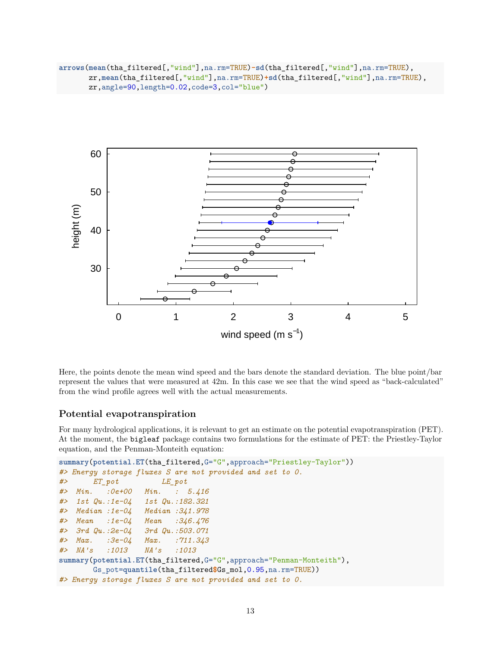**arrows**(**mean**(tha\_filtered[,"wind"],na.rm=TRUE)**-sd**(tha\_filtered[,"wind"],na.rm=TRUE), zr,**mean**(tha\_filtered[,"wind"],na.rm=TRUE)**+sd**(tha\_filtered[,"wind"],na.rm=TRUE), zr,angle=90,length=0.02,code=3,col="blue")



Here, the points denote the mean wind speed and the bars denote the standard deviation. The blue point/bar represent the values that were measured at 42m. In this case we see that the wind speed as "back-calculated" from the wind profile agrees well with the actual measurements.

## **Potential evapotranspiration**

For many hydrological applications, it is relevant to get an estimate on the potential evapotranspiration (PET). At the moment, the bigleaf package contains two formulations for the estimate of PET: the Priestley-Taylor equation, and the Penman-Monteith equation:

```
summary(potential.ET(tha_filtered,G="G",approach="Priestley-Taylor"))
#> Energy storage fluxes S are not provided and set to 0.
#> ET_pot LE_pot
#> Min. :0e+00 Min. : 5.416
#> 1st Qu.:1e-04 1st Qu.:182.321
#> Median :1e-04 Median :341.978
#> Mean :1e-04 Mean :346.476
#> 3rd Qu.:2e-04 3rd Qu.:503.071
#> Max. :3e-04 Max. :711.343
#> NA's :1013 NA's :1013
summary(potential.ET(tha_filtered,G="G",approach="Penman-Monteith"),
       Gs_pot=quantile(tha_filtered$Gs_mol,0.95,na.rm=TRUE))
#> Energy storage fluxes S are not provided and set to 0.
```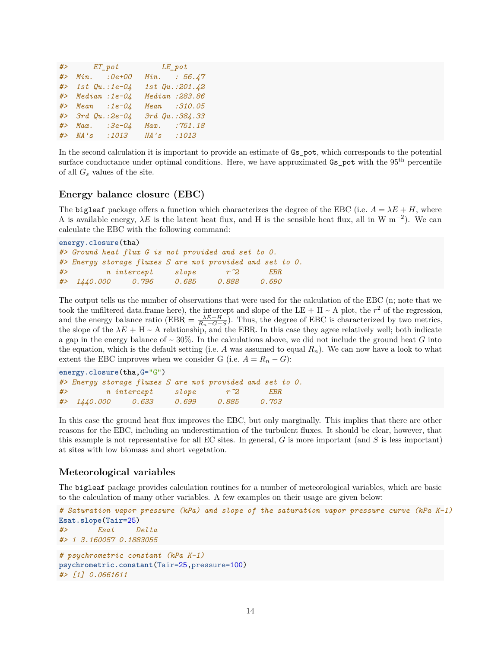|    |                      | #> $ET\_pot$ $LE\_pot$ |      |                      |
|----|----------------------|------------------------|------|----------------------|
| #> | $Min.$ $:0e+00$      |                        |      | $Min.$ : 56.47       |
|    | $#$ > 1st Qu.:1e-04  |                        |      | $1st$ $Qu. : 201.42$ |
|    | #> Median :1e-04     |                        |      | Median : 283.86      |
|    | $\#$ > Mean :1e-04   |                        |      | Mean : 310.05        |
|    | $#$ > 3rd Qu.: 2e-04 |                        |      | 3rd Qu.: 384.33      |
|    | $\#$ Max.            | $:3e-04$               | Max. | :751.18              |
|    | #> NA's :1013        |                        | MA's | : 1013               |

In the second calculation it is important to provide an estimate of Gs\_pot, which corresponds to the potential surface conductance under optimal conditions. Here, we have approximated Gs\_pot with the 95<sup>th</sup> percentile of all *G<sup>s</sup>* values of the site.

### **Energy balance closure (EBC)**

The bigleaf package offers a function which characterizes the degree of the EBC (i.e.  $A = \lambda E + H$ , where A is available energy,  $\lambda E$  is the latent heat flux, and H is the sensible heat flux, all in W m<sup>-2</sup>). We can calculate the EBC with the following command:

```
energy.closure(tha)
#> Ground heat flux G is not provided and set to 0.
#> Energy storage fluxes S are not provided and set to 0.
#> n intercept slope r^2 EBR
#> 1440.000 0.796 0.685 0.888 0.690
```
The output tells us the number of observations that were used for the calculation of the EBC (n; note that we took the unfiltered data.frame here), the intercept and slope of the LE + H  $\sim$  A plot, the  $r^2$  of the regression, and the energy balance ratio (EBR =  $\frac{\lambda E+H}{R_n-G-S}$ ). Thus, the degree of EBC is characterized by two metrics, the slope of the  $\lambda E + H \sim A$  relationship, and the EBR. In this case they agree relatively well; both indicate a gap in the energy balance of  $\sim 30\%$ . In the calculations above, we did not include the ground heat *G* into the equation, which is the default setting (i.e. A was assumed to equal  $R_n$ ). We can now have a look to what extent the EBC improves when we consider G (i.e.  $A = R_n - G$ ):

```
energy.closure(tha,G="G")
#> Energy storage fluxes S are not provided and set to 0.
#> n intercept slope r^2 EBR
#> 1440.000 0.633 0.699 0.885 0.703
```
In this case the ground heat flux improves the EBC, but only marginally. This implies that there are other reasons for the EBC, including an underestimation of the turbulent fluxes. It should be clear, however, that this example is not representative for all EC sites. In general, *G* is more important (and *S* is less important) at sites with low biomass and short vegetation.

#### **Meteorological variables**

The bigleaf package provides calculation routines for a number of meteorological variables, which are basic to the calculation of many other variables. A few examples on their usage are given below:

```
# Saturation vapor pressure (kPa) and slope of the saturation vapor pressure curve (kPa K-1)
Esat.slope(Tair=25)
#> Esat Delta
#> 1 3.160057 0.1883055
# psychrometric constant (kPa K-1)
psychrometric.constant(Tair=25,pressure=100)
#> [1] 0.0661611
```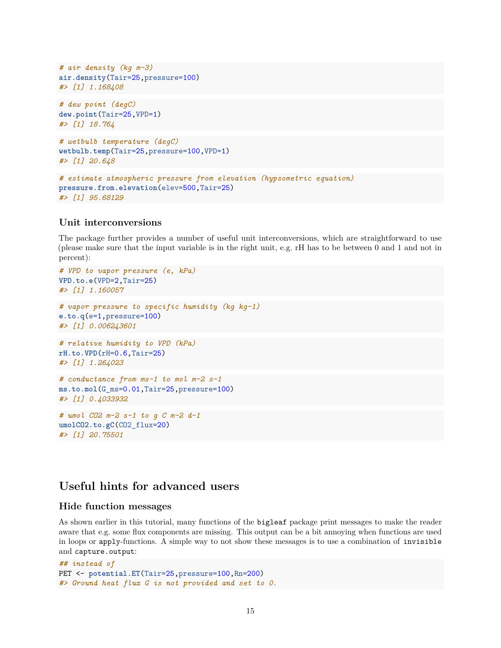```
# air density (kg m-3)
air.density(Tair=25,pressure=100)
#> [1] 1.168408
# dew point (degC)
dew.point(Tair=25,VPD=1)
#> [1] 18.764
# wetbulb temperature (degC)
wetbulb.temp(Tair=25,pressure=100,VPD=1)
#> [1] 20.648
# estimate atmospheric pressure from elevation (hypsometric equation)
pressure.from.elevation(elev=500,Tair=25)
#> [1] 95.68129
```
#### **Unit interconversions**

The package further provides a number of useful unit interconversions, which are straightforward to use (please make sure that the input variable is in the right unit, e.g. rH has to be between 0 and 1 and not in percent):

```
# VPD to vapor pressure (e, kPa)
VPD.to.e(VPD=2,Tair=25)
#> [1] 1.160057
# vapor pressure to specific humidity (kg kg-1)
e.to.q(e=1,pressure=100)
#> [1] 0.006243601
# relative humidity to VPD (kPa)
rH.to.VPD(rH=0.6,Tair=25)
#> [1] 1.264023
# conductance from ms-1 to mol m-2 s-1
ms.to.mol(G_ms=0.01,Tair=25,pressure=100)
#> [1] 0.4033932
# umol CO2 m-2 s-1 to g C m-2 d-1
umolCO2.to.gC(CO2_flux=20)
```

```
#> [1] 20.75501
```
# **Useful hints for advanced users**

# **Hide function messages**

As shown earlier in this tutorial, many functions of the bigleaf package print messages to make the reader aware that e.g. some flux components are missing. This output can be a bit annoying when functions are used in loops or apply-functions. A simple way to not show these messages is to use a combination of invisible and capture.output:

```
## instead of
PET <- potential.ET(Tair=25,pressure=100,Rn=200)
#> Ground heat flux G is not provided and set to 0.
```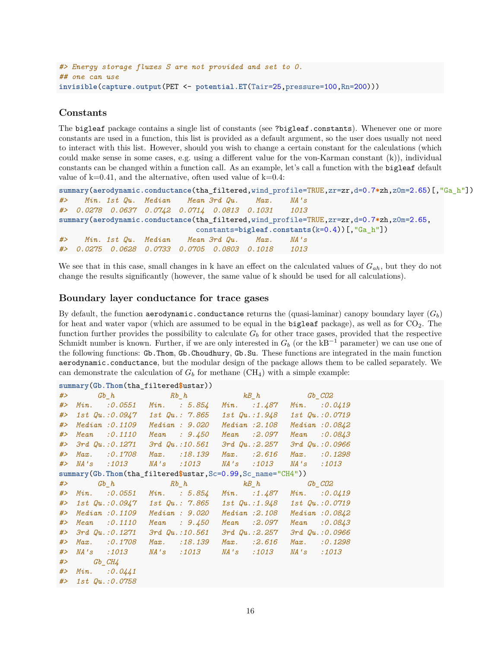```
#> Energy storage fluxes S are not provided and set to 0.
## one can use
invisible(capture.output(PET <- potential.ET(Tair=25,pressure=100,Rn=200)))
```
# **Constants**

The bigleaf package contains a single list of constants (see ?bigleaf.constants). Whenever one or more constants are used in a function, this list is provided as a default argument, so the user does usually not need to interact with this list. However, should you wish to change a certain constant for the calculations (which could make sense in some cases, e.g. using a different value for the von-Karman constant (k)), individual constants can be changed within a function call. As an example, let's call a function with the bigleaf default value of  $k=0.41$ , and the alternative, often used value of  $k=0.4$ :

```
summary(aerodynamic.conductance(tha_filtered,wind_profile=TRUE,zr=zr,d=0.7*zh,z0m=2.65)[,"Ga_h"])
#> Min. 1st Qu. Median Mean 3rd Qu. Max. NA's
#> 0.0278 0.0637 0.0742 0.0714 0.0813 0.1031 1013
summary(aerodynamic.conductance(tha_filtered,wind_profile=TRUE,zr=zr,d=0.7*zh,z0m=2.65,
                             constants=bigleaf.constants(k=0.4))[,"Ga_h"])
#> Min. 1st Qu. Median Mean 3rd Qu. Max. NA's
#> 0.0275 0.0628 0.0733 0.0705 0.0803 0.1018 1013
```
We see that in this case, small changes in k have an effect on the calculated values of *Gah*, but they do not change the results significantly (however, the same value of k should be used for all calculations).

### **Boundary layer conductance for trace gases**

By default, the function aerodynamic.conductance returns the (quasi-laminar) canopy boundary layer  $(G_b)$ for heat and water vapor (which are assumed to be equal in the bigleaf package), as well as for  $CO<sub>2</sub>$ . The function further provides the possibility to calculate  $G<sub>b</sub>$  for other trace gases, provided that the respective Schmidt number is known. Further, if we are only interested in  $G_b$  (or the kB<sup>-1</sup> parameter) we can use one of the following functions: Gb.Thom, Gb.Choudhury, Gb.Su. These functions are integrated in the main function aerodynamic.conductance, but the modular design of the package allows them to be called separately. We can demonstrate the calculation of  $G_b$  for methane  $(CH_4)$  with a simple example:

|       | summary(Gb.Thom(tha_filtered\$ustar)) |                                      |  |                                                             |  |                              |                   |                 |
|-------|---------------------------------------|--------------------------------------|--|-------------------------------------------------------------|--|------------------------------|-------------------|-----------------|
| #>    |                                       |                                      |  | $Gb_h$ and $Rb_h$ and $kB_h$ and $b$ $CB2$                  |  |                              |                   |                 |
| #>    |                                       |                                      |  | $Min.$ : 0.0551 $Min.$ : 5.854                              |  | $Min.$ :1.487 $Min.$ :0.0419 |                   |                 |
| #>    |                                       | $1st$ Qu.: $0.0947$ 1st Qu.: $7.865$ |  |                                                             |  | 1st Qu.:1.948 1st Qu.:0.0719 |                   |                 |
| # $>$ |                                       | Median : 0.1109 Median : 9.020       |  |                                                             |  | Median : 2.108               |                   | Median: 0.0842  |
| #>    |                                       | $Mean$ : $0.1110$                    |  | Mean : $9.450$                                              |  | $Mean$ : $2.097$             |                   | Mean : $0.0843$ |
| # $>$ |                                       |                                      |  | $3rd$ Qu.: $0.1271$ $3rd$ Qu.: $10.561$ $3rd$ Qu.: $2.257$  |  |                              |                   | 3rd Qu.: 0.0966 |
| #>    |                                       | $Max.$ : 0.1708                      |  | Max. :18.139                                                |  | $Max.$ : 2.616               |                   | $Max.$ : 0.1298 |
| #>    |                                       | <i>NA's</i> :1013                    |  | <i>NA's :1013</i>                                           |  | <i>NA's</i> :1013            | NA's :1013        |                 |
|       |                                       |                                      |  | summary(Gb.Thom(tha_filtered\$ustar,Sc=0.99,Sc_name="CH4")) |  |                              |                   |                 |
| #>    |                                       |                                      |  | $Gb_{h}$ $Rb_{h}$ $kB_{h}$ $GB_{CO2}$                       |  |                              |                   |                 |
| #>    |                                       |                                      |  | Min. : 0.0551 Min. : 5.854 Min. : 1.487 Min. : 0.0419       |  |                              |                   |                 |
|       |                                       |                                      |  | #> 1st Qu.:0.0947 1st Qu.: 7.865                            |  | 1st Qu.:1.948 1st Qu.:0.0719 |                   |                 |
| #>    |                                       | Median: 0.1109                       |  | Median : 9.020                                              |  | Median : 2.108               |                   | Median: 0.0842  |
| #>    |                                       | $Mean$ : $0.1110$                    |  | Mean : $9.450$                                              |  | $Mean$ : $2.097$             |                   | Mean : 0.0843   |
| #>    |                                       | $3rd$ $Qu.:0.1271$                   |  | $3rd$ $Qu.:10.561$                                          |  | $3rd$ $Qu.:2.257$            |                   | 3rd Qu.: 0.0966 |
| #>    |                                       | $Max.$ : 0.1708                      |  | $Max.$ : 18.139                                             |  | $Max.$ : 2.616               |                   | $Max.$ : 0.1298 |
| #>    |                                       | <i>NA's :1013</i>                    |  | NA's :1013                                                  |  | NA's :1013                   | <i>NA's</i> :1013 |                 |
| #>    | $Gb$ $CH4$                            |                                      |  |                                                             |  |                              |                   |                 |
| # $>$ |                                       | $Min.$ : 0.0441                      |  |                                                             |  |                              |                   |                 |
| #>    |                                       | 1st Qu.:0.0758                       |  |                                                             |  |                              |                   |                 |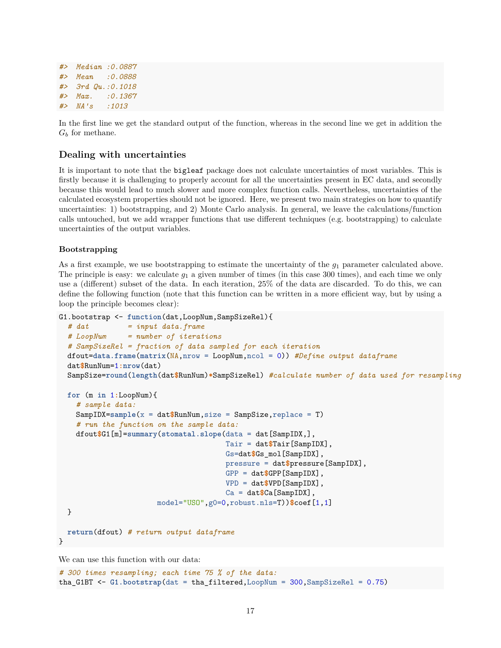```
#> Median :0.0887
#> Mean :0.0888
#> 3rd Qu.:0.1018
#> Max. :0.1367
#> NA's :1013
```
In the first line we get the standard output of the function, whereas in the second line we get in addition the  $G_b$  for methane.

# **Dealing with uncertainties**

It is important to note that the bigleaf package does not calculate uncertainties of most variables. This is firstly because it is challenging to properly account for all the uncertainties present in EC data, and secondly because this would lead to much slower and more complex function calls. Nevertheless, uncertainties of the calculated ecosystem properties should not be ignored. Here, we present two main strategies on how to quantify uncertainties: 1) bootstrapping, and 2) Monte Carlo analysis. In general, we leave the calculations/function calls untouched, but we add wrapper functions that use different techniques (e.g. bootstrapping) to calculate uncertainties of the output variables.

#### **Bootstrapping**

As a first example, we use bootstrapping to estimate the uncertainty of the *g*<sup>1</sup> parameter calculated above. The principle is easy: we calculate  $g_1$  a given number of times (in this case 300 times), and each time we only use a (different) subset of the data. In each iteration, 25% of the data are discarded. To do this, we can define the following function (note that this function can be written in a more efficient way, but by using a loop the principle becomes clear):

```
G1.bootstrap <- function(dat,LoopNum,SampSizeRel){
 # dat = input data.frame
 # LoopNum = number of iterations
 # SampSizeRel = fraction of data sampled for each iteration
 dfout=data.frame(matrix(NA,nrow = LoopNum,ncol = 0)) #Define output dataframe
 dat$RunNum=1:nrow(dat)
 SampSize=round(length(dat$RunNum)*SampSizeRel) #calculate number of data used for resampling
```

```
for (m in 1:LoopNum){
  # sample data:
 SampIDX=sample(x = dat$RunNum,size = SampSize,replace = T)
  # run the function on the sample data:
  dfout$G1[m]=summary(stomatal.slope(data = dat[SampIDX,],
                                     Tair = dat$Tair[SampIDX],
                                     Gs=dat$Gs_mol[SampIDX],
                                     pressure = dat$pressure[SampIDX],
                                     GPP = dat$GPP[SampIDX],
                                     VPD = dat$VPD[SampIDX],
                                     Ca = dat$Ca[SampIDX],
                     model="USO",g0=0,robust.nls=T))$coef[1,1]
}
```

```
return(dfout) # return output dataframe
}
```
We can use this function with our data:

*# 300 times resampling; each time 75 % of the data:* tha\_G1BT <- **G1.bootstrap**(dat = tha\_filtered,LoopNum = 300,SampSizeRel = 0.75)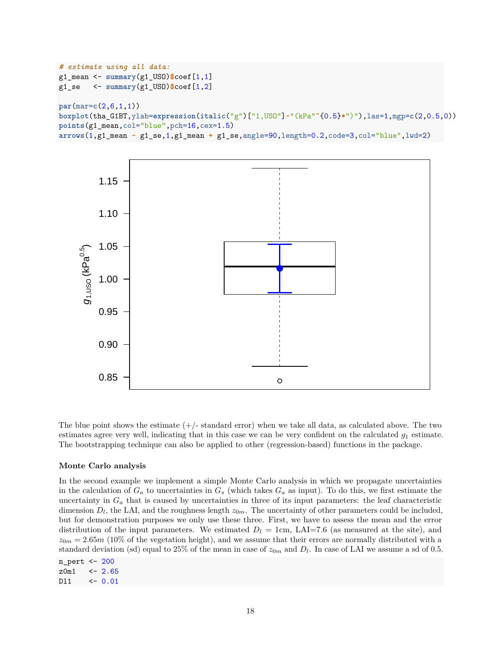```
# estimate using all data:
g1_mean <- summary(g1_USO)$coef[1,1]
g1_se <- summary(g1_USO)$coef[1,2]
par(mar=c(2,6,1,1))
boxplot(tha_G1BT,ylab=expression(italic("g")["1,USO"]~"(kPa"^{0.5}*")"),las=1,mgp=c(2,0.5,0))
points(g1_mean,col="blue",pch=16,cex=1.5)
arrows(1,g1_mean - g1_se,1,g1_mean + g1_se,angle=90,length=0.2,code=3,col="blue",lwd=2)
```


The blue point shows the estimate  $(+)$ -standard error) when we take all data, as calculated above. The two estimates agree very well, indicating that in this case we can be very confident on the calculated  $g_1$  estimate. The bootstrapping technique can also be applied to other (regression-based) functions in the package.

#### **Monte Carlo analysis**

In the second example we implement a simple Monte Carlo analysis in which we propagate uncertainties in the calculation of  $G_a$  to uncertainties in  $G_s$  (which takes  $G_a$  as input). To do this, we first estimate the uncertainty in  $G_a$  that is caused by uncertainties in three of its input parameters: the leaf characteristic dimension  $D_l$ , the LAI, and the roughness length  $z_{0m}$ . The uncertainty of other parameters could be included, but for demonstration purposes we only use these three. First, we have to assess the mean and the error distribution of the input parameters. We estimated  $D_l = 1$ cm, LAI=7.6 (as measured at the site), and  $z_{0m} = 2.65m$  (10% of the vegetation height), and we assume that their errors are normally distributed with a standard deviation (sd) equal to 25% of the mean in case of  $z_{0m}$  and  $D_l$ . In case of LAI we assume a sd of 0.5.

```
n_pert <- 200
z0m1 <- 2.65
Dl1 <- 0.01
```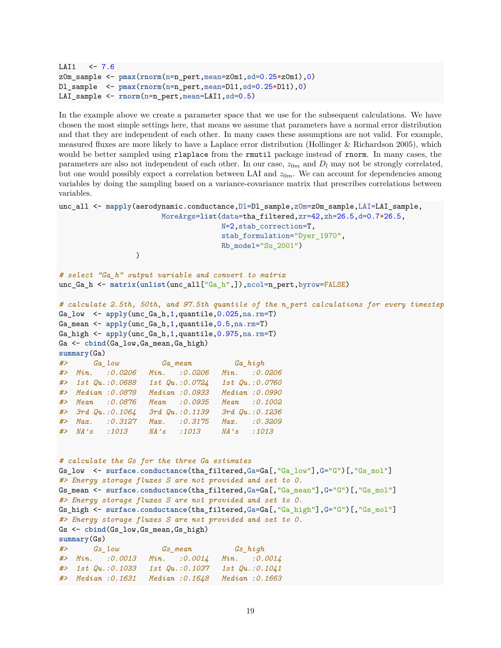```
LAI1 \leq -7.6z0m_sample <- pmax(rnorm(n=n_pert,mean=z0m1,sd=0.25*z0m1),0)
Dl_sample <- pmax(rnorm(n=n_pert,mean=Dl1,sd=0.25*Dl1),0)
LAI_sample <- rnorm(n=n_pert,mean=LAI1,sd=0.5)
```
In the example above we create a parameter space that we use for the subsequent calculations. We have chosen the most simple settings here, that means we assume that parameters have a normal error distribution and that they are independent of each other. In many cases these assumptions are not valid. For example, measured fluxes are more likely to have a Laplace error distribution (Hollinger & Richardson 2005), which would be better sampled using rlaplace from the rmutil package instead of rnorm. In many cases, the parameters are also not independent of each other. In our case,  $z_{0m}$  and  $D_l$  may not be strongly correlated, but one would possibly expect a correlation between LAI and  $z_{0m}$ . We can account for dependencies among variables by doing the sampling based on a variance-covariance matrix that prescribes correlations between variables.

```
unc_all <- mapply(aerodynamic.conductance,Dl=Dl_sample,z0m=z0m_sample,LAI=LAI_sample,
                      MoreArgs=list(data=tha_filtered,zr=42,zh=26.5,d=0.7*26.5,
                                   N=2,stab_correction=T,
                                   stab_formulation="Dyer_1970",
                                   Rb_model="Su_2001")
                )
# select "Ga_h" output variable and convert to matrix
unc_Ga_h <- matrix(unlist(unc_all["Ga_h",]),ncol=n_pert,byrow=FALSE)
# calculate 2.5th, 50th, and 97.5th quantile of the n_pert calculations for every timestep
Ga_low <- apply(unc_Ga_h,1,quantile,0.025,na.rm=T)
Ga_mean <- apply(unc_Ga_h,1,quantile,0.5,na.rm=T)
Ga_high <- apply(unc_Ga_h,1,quantile,0.975,na.rm=T)
Ga <- cbind(Ga_low,Ga_mean,Ga_high)
summary(Ga)
#> Ga_low Ga_mean Ga_high
#> Min. :0.0206 Min. :0.0206 Min. :0.0206
#> 1st Qu.:0.0688 1st Qu.:0.0724 1st Qu.:0.0760
#> Median :0.0878 Median :0.0933 Median :0.0990
#> Mean :0.0876 Mean :0.0935 Mean :0.1002
#> 3rd Qu.:0.1064 3rd Qu.:0.1139 3rd Qu.:0.1236
#> Max. :0.3127 Max. :0.3175 Max. :0.3209
#> NA's :1013 NA's :1013 NA's :1013
# calculate the Gs for the three Ga estimates
Gs_low <- surface.conductance(tha_filtered,Ga=Ga[,"Ga_low"],G="G")[,"Gs_mol"]
#> Energy storage fluxes S are not provided and set to 0.
Gs_mean <- surface.conductance(tha_filtered,Ga=Ga[,"Ga_mean"],G="G")[,"Gs_mol"]
#> Energy storage fluxes S are not provided and set to 0.
Gs_high <- surface.conductance(tha_filtered,Ga=Ga[,"Ga_high"],G="G")[,"Gs_mol"]
#> Energy storage fluxes S are not provided and set to 0.
Gs <- cbind(Gs_low,Gs_mean,Gs_high)
summary(Gs)
#> Gs_low Gs_mean Gs_high
#> Min. :0.0013 Min. :0.0014 Min. :0.0014
#> 1st Qu.:0.1033 1st Qu.:0.1037 1st Qu.:0.1041
#> Median :0.1631 Median :0.1648 Median :0.1663
```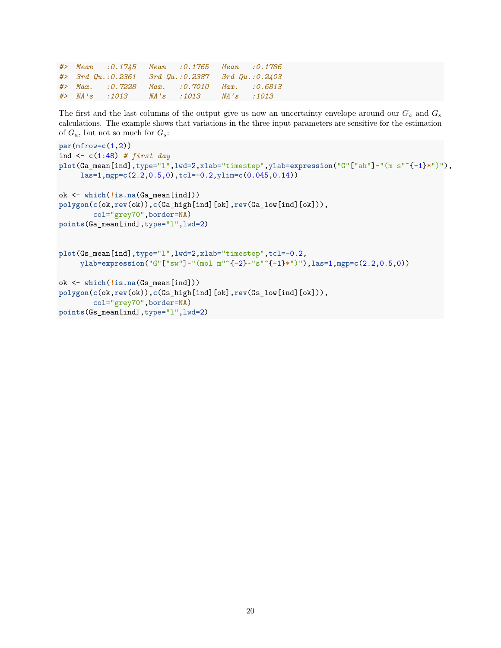|  |               | #> Mean :0.1745 Mean :0.1765 Mean :0.1786         |           |  |
|--|---------------|---------------------------------------------------|-----------|--|
|  |               | $\#$ 3rd Qu.:0.2361 3rd Qu.:0.2387 3rd Qu.:0.2403 |           |  |
|  |               | #> Max. :0.7228 Max. :0.7010 Max. :0.6813         |           |  |
|  | #> NA's :1013 | NA's:1013                                         | NA's:1013 |  |

The first and the last columns of the output give us now an uncertainty envelope around our  $G_a$  and  $G_s$ calculations. The example shows that variations in the three input parameters are sensitive for the estimation of  $G_a$ , but not so much for  $G_s$ :

```
par(mfrow=c(1,2))
ind <- c(1:48) # first day
plot(Ga_mean[ind],type="l",lwd=2,xlab="timestep",ylab=expression("G"["ah"]~"(m s"^{-1}*")"),
     las=1,mgp=c(2.2,0.5,0),tcl=-0.2,ylim=c(0.045,0.14))
ok <- which(!is.na(Ga_mean[ind]))
polygon(c(ok,rev(ok)),c(Ga_high[ind][ok],rev(Ga_low[ind][ok])),
        col="grey70",border=NA)
points(Ga_mean[ind],type="l",lwd=2)
plot(Gs_mean[ind],type="l",lwd=2,xlab="timestep",tcl=-0.2,
     ylab=expression("G"["sw"]~"(mol m"^{-2}~"s"^{-1}*")"),las=1,mgp=c(2.2,0.5,0))
ok <- which(!is.na(Gs_mean[ind]))
polygon(c(ok,rev(ok)),c(Gs_high[ind][ok],rev(Gs_low[ind][ok])),
        col="grey70",border=NA)
points(Gs_mean[ind],type="l",lwd=2)
```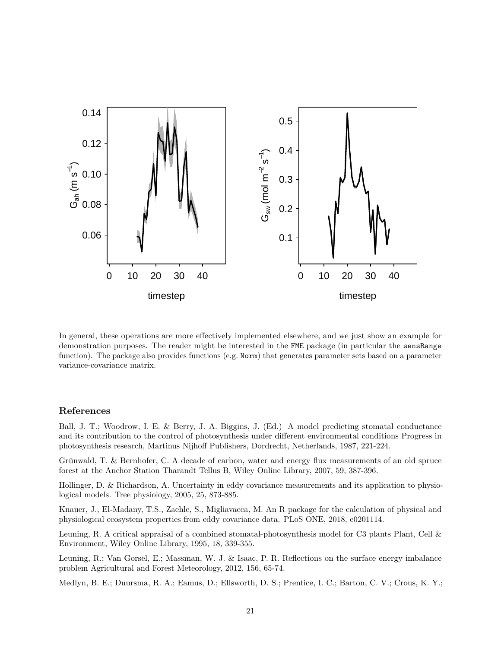

In general, these operations are more effectively implemented elsewhere, and we just show an example for demonstration purposes. The reader might be interested in the FME package (in particular the sensRange function). The package also provides functions (e.g. Norm) that generates parameter sets based on a parameter variance-covariance matrix.

## **References**

Ball, J. T.; Woodrow, I. E. & Berry, J. A. Biggins, J. (Ed.) A model predicting stomatal conductance and its contribution to the control of photosynthesis under different environmental conditions Progress in photosynthesis research, Martinus Nijhoff Publishers, Dordrecht, Netherlands, 1987, 221-224.

Grünwald, T. & Bernhofer, C. A decade of carbon, water and energy flux measurements of an old spruce forest at the Anchor Station Tharandt Tellus B, Wiley Online Library, 2007, 59, 387-396.

Hollinger, D. & Richardson, A. Uncertainty in eddy covariance measurements and its application to physiological models. Tree physiology, 2005, 25, 873-885.

Knauer, J., El-Madany, T.S., Zaehle, S., Migliavacca, M. An R package for the calculation of physical and physiological ecosystem properties from eddy covariance data. PLoS ONE, 2018, e0201114.

Leuning, R. A critical appraisal of a combined stomatal-photosynthesis model for C3 plants Plant, Cell & Environment, Wiley Online Library, 1995, 18, 339-355.

Leuning, R.; Van Gorsel, E.; Massman, W. J. & Isaac, P. R. Reflections on the surface energy imbalance problem Agricultural and Forest Meteorology, 2012, 156, 65-74.

Medlyn, B. E.; Duursma, R. A.; Eamus, D.; Ellsworth, D. S.; Prentice, I. C.; Barton, C. V.; Crous, K. Y.;